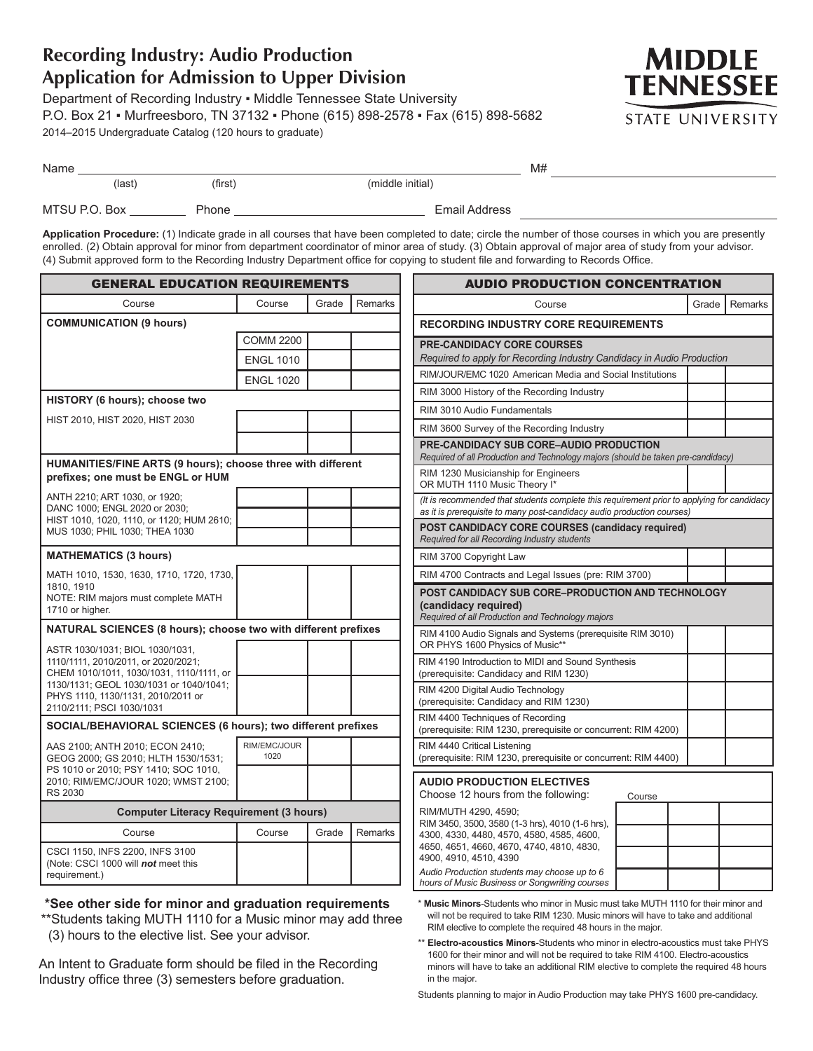## **Recording Industry: Audio Production Application for Admission to Upper Division**

(3) hours to the elective list. See your advisor.

An Intent to Graduate form should be filed in the Recording Industry office three (3) semesters before graduation.

Department of Recording Industry ▪ Middle Tennessee State University P.O. Box 21 ▪ Murfreesboro, TN 37132 ▪ Phone (615) 898-2578 ▪ Fax (615) 898-5682 2014–2015 Undergraduate Catalog (120 hours to graduate)



| Name |               |         |                  |  |  |
|------|---------------|---------|------------------|--|--|
|      | (last         | (first) | (middle initial) |  |  |
|      | MTSU P.O. Box | Phone   | Email Address    |  |  |

**Application Procedure:** (1) Indicate grade in all courses that have been completed to date; circle the number of those courses in which you are presently enrolled. (2) Obtain approval for minor from department coordinator of minor area of study. (3) Obtain approval of major area of study from your advisor. (4) Submit approved form to the Recording Industry Department office for copying to student file and forwarding to Records Office.

| <b>GENERAL EDUCATION REQUIREMENTS</b>                                                             |                      |                      |         | <b>AUDIO PRODUCTION CONCENTRATION</b>                                                                                                                                |         |  |  |
|---------------------------------------------------------------------------------------------------|----------------------|----------------------|---------|----------------------------------------------------------------------------------------------------------------------------------------------------------------------|---------|--|--|
| Course                                                                                            | Course               | Grade                | Remarks | Course<br>Grade I                                                                                                                                                    | Remarks |  |  |
| <b>COMMUNICATION (9 hours)</b>                                                                    |                      |                      |         | <b>RECORDING INDUSTRY CORE REQUIREMENTS</b>                                                                                                                          |         |  |  |
|                                                                                                   | <b>COMM 2200</b>     |                      |         | <b>PRE-CANDIDACY CORE COURSES</b>                                                                                                                                    |         |  |  |
|                                                                                                   | <b>ENGL 1010</b>     |                      |         | Required to apply for Recording Industry Candidacy in Audio Production                                                                                               |         |  |  |
|                                                                                                   | <b>ENGL 1020</b>     |                      |         | RIM/JOUR/EMC 1020 American Media and Social Institutions                                                                                                             |         |  |  |
| HISTORY (6 hours); choose two                                                                     |                      |                      |         | RIM 3000 History of the Recording Industry                                                                                                                           |         |  |  |
| HIST 2010, HIST 2020, HIST 2030                                                                   |                      |                      |         | RIM 3010 Audio Fundamentals                                                                                                                                          |         |  |  |
|                                                                                                   |                      |                      |         | RIM 3600 Survey of the Recording Industry                                                                                                                            |         |  |  |
|                                                                                                   |                      |                      |         | PRE-CANDIDACY SUB CORE-AUDIO PRODUCTION<br>Required of all Production and Technology majors (should be taken pre-candidacy)                                          |         |  |  |
| HUMANITIES/FINE ARTS (9 hours); choose three with different<br>prefixes; one must be ENGL or HUM  |                      |                      |         | RIM 1230 Musicianship for Engineers<br>OR MUTH 1110 Music Theory I*                                                                                                  |         |  |  |
| ANTH 2210; ART 1030, or 1920;<br>DANC 1000; ENGL 2020 or 2030;                                    |                      |                      |         | (It is recommended that students complete this requirement prior to applying for candidacy<br>as it is prerequisite to many post-candidacy audio production courses) |         |  |  |
| HIST 1010, 1020, 1110, or 1120; HUM 2610;<br>MUS 1030; PHIL 1030; THEA 1030                       |                      |                      |         | POST CANDIDACY CORE COURSES (candidacy required)<br>Required for all Recording Industry students                                                                     |         |  |  |
| <b>MATHEMATICS (3 hours)</b>                                                                      |                      |                      |         | RIM 3700 Copyright Law                                                                                                                                               |         |  |  |
| MATH 1010, 1530, 1630, 1710, 1720, 1730,                                                          |                      |                      |         | RIM 4700 Contracts and Legal Issues (pre: RIM 3700)                                                                                                                  |         |  |  |
| 1810. 1910<br>NOTE: RIM majors must complete MATH<br>1710 or higher.                              |                      |                      |         | POST CANDIDACY SUB CORE-PRODUCTION AND TECHNOLOGY<br>(candidacy required)<br>Required of all Production and Technology majors                                        |         |  |  |
| NATURAL SCIENCES (8 hours); choose two with different prefixes<br>ASTR 1030/1031; BIOL 1030/1031, |                      |                      |         | RIM 4100 Audio Signals and Systems (prerequisite RIM 3010)<br>OR PHYS 1600 Physics of Music**                                                                        |         |  |  |
| 1110/1111, 2010/2011, or 2020/2021;<br>CHEM 1010/1011, 1030/1031, 1110/1111, or                   |                      |                      |         | RIM 4190 Introduction to MIDI and Sound Synthesis<br>(prerequisite: Candidacy and RIM 1230)                                                                          |         |  |  |
| 1130/1131; GEOL 1030/1031 or 1040/1041;<br>PHYS 1110, 1130/1131, 2010/2011 or                     |                      |                      |         | RIM 4200 Digital Audio Technology<br>(prerequisite: Candidacy and RIM 1230)                                                                                          |         |  |  |
| 2110/2111; PSCI 1030/1031                                                                         |                      |                      |         | RIM 4400 Techniques of Recording                                                                                                                                     |         |  |  |
| SOCIAL/BEHAVIORAL SCIENCES (6 hours); two different prefixes                                      |                      |                      |         | (prerequisite: RIM 1230, prerequisite or concurrent: RIM 4200)                                                                                                       |         |  |  |
| AAS 2100; ANTH 2010; ECON 2410;<br>GEOG 2000; GS 2010; HLTH 1530/1531;                            | RIM/EMC/JOUR<br>1020 |                      |         | RIM 4440 Critical Listening<br>(prerequisite: RIM 1230, prerequisite or concurrent: RIM 4400)                                                                        |         |  |  |
| PS 1010 or 2010; PSY 1410; SOC 1010,<br>2010; RIM/EMC/JOUR 1020; WMST 2100;<br><b>RS 2030</b>     |                      |                      |         | <b>AUDIO PRODUCTION ELECTIVES</b><br>Choose 12 hours from the following:<br>Course                                                                                   |         |  |  |
| <b>Computer Literacy Requirement (3 hours)</b>                                                    |                      | RIM/MUTH 4290, 4590; |         |                                                                                                                                                                      |         |  |  |
| Course                                                                                            | Course               | Grade                | Remarks | RIM 3450, 3500, 3580 (1-3 hrs), 4010 (1-6 hrs),<br>4300, 4330, 4480, 4570, 4580, 4585, 4600,                                                                         |         |  |  |
| CSCI 1150, INFS 2200, INFS 3100                                                                   |                      |                      |         | 4650, 4651, 4660, 4670, 4740, 4810, 4830,<br>4900, 4910, 4510, 4390                                                                                                  |         |  |  |
| (Note: CSCI 1000 will not meet this<br>requirement.)                                              |                      |                      |         | Audio Production students may choose up to 6                                                                                                                         |         |  |  |
|                                                                                                   |                      |                      |         | hours of Music Business or Songwriting courses                                                                                                                       |         |  |  |
| *See other side for minor and graduation requirements                                             |                      |                      |         | * Music Minors-Students who minor in Music must take MUTH 1110 for their minor and                                                                                   |         |  |  |

\*\*Students taking MUTH 1110 for a Music minor may add three Music Minors-Students who minor in Music must take MUTH 1110 for their minor and will not be required to take RIM 1230. Music minors will have to take and additional RIM elective to complete the required 48 hours in the major.

> \*\* **Electro-acoustics Minors**-Students who minor in electro-acoustics must take PHYS 1600 for their minor and will not be required to take RIM 4100. Electro-acoustics minors will have to take an additional RIM elective to complete the required 48 hours in the major.

Students planning to major in Audio Production may take PHYS 1600 pre-candidacy.